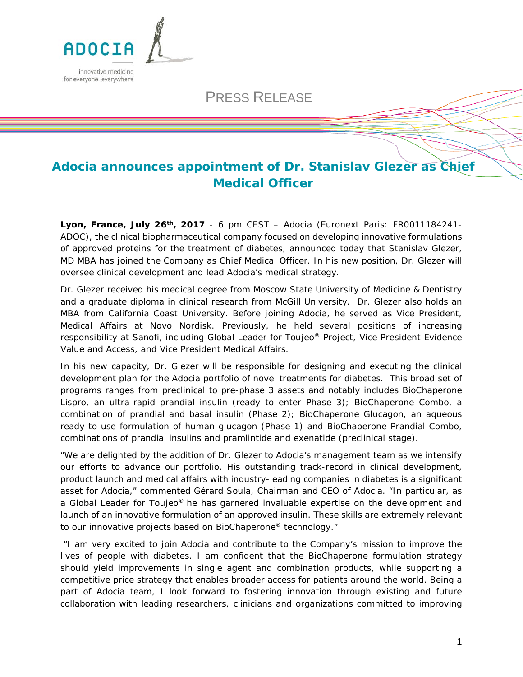

## PRESS RELEASE

# **Adocia announces appointment of Dr. Stanislav Glezer as Chief Medical Officer**

**Lyon, France, July 26th, 2017** - 6 pm CEST – Adocia (Euronext Paris: FR0011184241- ADOC), the clinical biopharmaceutical company focused on developing innovative formulations of approved proteins for the treatment of diabetes, announced today that Stanislav Glezer, MD MBA has joined the Company as Chief Medical Officer. In his new position, Dr. Glezer will oversee clinical development and lead Adocia's medical strategy.

Dr. Glezer received his medical degree from Moscow State University of Medicine & Dentistry and a graduate diploma in clinical research from McGill University. Dr. Glezer also holds an MBA from California Coast University. Before joining Adocia, he served as Vice President, Medical Affairs at Novo Nordisk. Previously, he held several positions of increasing responsibility at Sanofi, including Global Leader for Toujeo® Project, Vice President Evidence Value and Access, and Vice President Medical Affairs.

In his new capacity, Dr. Glezer will be responsible for designing and executing the clinical development plan for the Adocia portfolio of novel treatments for diabetes. This broad set of programs ranges from preclinical to pre-phase 3 assets and notably includes BioChaperone Lispro, an ultra-rapid prandial insulin (ready to enter Phase 3); BioChaperone Combo, a combination of prandial and basal insulin (Phase 2); BioChaperone Glucagon, an aqueous ready-to-use formulation of human glucagon (Phase 1) and BioChaperone Prandial Combo, combinations of prandial insulins and pramlintide and exenatide (preclinical stage).

"*We are delighted by the addition of Dr. Glezer to Adocia's management team as we intensify our efforts to advance our portfolio. His outstanding track-record in clinical development, product launch and medical affairs with industry-leading companies in diabetes is a significant asset for Adocia,*" commented Gérard Soula, Chairman and CEO of Adocia. "*In particular, as a Global Leader for Toujeo® he has garnered invaluable expertise on the development and*  launch of an innovative formulation of an approved insulin. These skills are extremely relevant *to our innovative projects based on BioChaperone® technology."*

"*I am very excited to join Adocia and contribute to the Company's mission to improve the lives of people with diabetes. I am confident that the BioChaperone formulation strategy should yield improvements in single agent and combination products, while supporting a competitive price strategy that enables broader access for patients around the world. Being a part of Adocia team, I look forward to fostering innovation through existing and future collaboration with leading researchers, clinicians and organizations committed to improving*